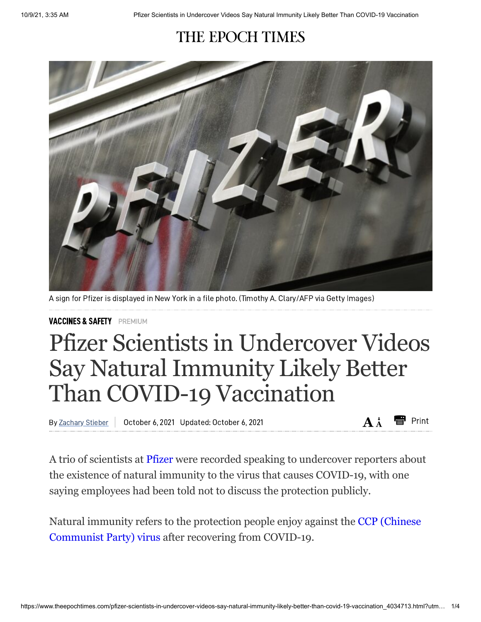## THE EPOCH TIMES



A sign for Pfizer is displayed in New York in a file photo. (Timothy A. Clary/AFP via Getty Images)

[VACCINES](https://www.theepochtimes.com/c-vaccines) & SAFETY PREMIUM

## Pfizer Scientists in Undercover Videos Say Natural Immunity Likely Better Than COVID-19 Vaccination

By Zachary Stieber | October 6, 2021 Updated: October 6, 2021 **A** and **A** in **A** in **A** in Print

A trio of scientists at [Pfizer](https://www.theepochtimes.com/t-pfizer) were recorded speaking to undercover reporters about the existence of natural immunity to the virus that causes COVID-19, with one saying employees had been told not to discuss the protection publicly.

Natural immunity refers to the protection people enjoy against the CCP (Chinese [Communist](https://www.theepochtimes.com/giving-the-right-name-to-the-virus-causing-a-worldwide-pandemic-2_3277200.html) Party) virus after recovering from COVID-19.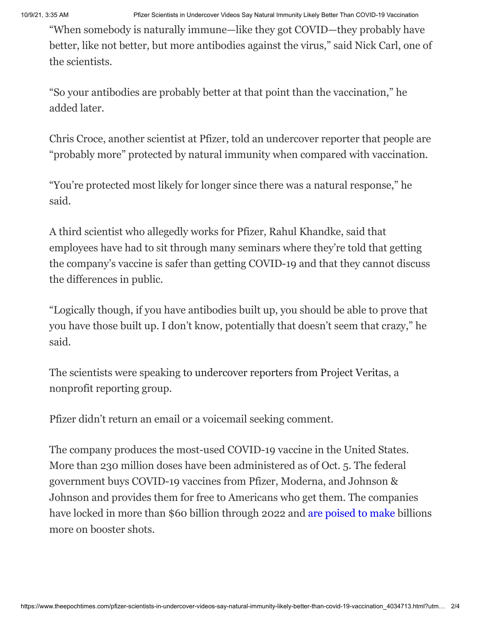10/9/21, 3:35 AM Pfizer Scientists in Undercover Videos Say Natural Immunity Likely Better Than COVID-19 Vaccination

"When somebody is naturally immune—like they got COVID—they probably have better, like not better, but more antibodies against the virus," said Nick Carl, one of the scientists.

"So your antibodies are probably better at that point than the vaccination," he added later.

Chris Croce, another scientist at Pfizer, told an undercover reporter that people are "probably more" protected by natural immunity when compared with vaccination.

"You're protected most likely for longer since there was a natural response," he said.

A third scientist who allegedly works for Pfizer, Rahul Khandke, said that employees have had to sit through many seminars where they're told that getting the company's vaccine is safer than getting COVID-19 and that they cannot discuss the differences in public.

"Logically though, if you have antibodies built up, you should be able to prove that you have those built up. I don't know, potentially that doesn't seem that crazy," he said.

The scientists were speaking to [undercover](https://www.projectveritas.com/news/pfizer-scientist-your-antibodies-are-probably-better-than-the-vaccination/) reporters from Project Veritas, a nonprofit reporting group.

Pfizer didn't return an email or a voicemail seeking comment.

The company produces the most-used COVID-19 vaccine in the United States. More than 230 million doses have been administered as of Oct. 5. The federal government buys COVID-19 vaccines from Pfizer, Moderna, and Johnson & Johnson and provides them for free to Americans who get them. The companies have locked in more than \$60 billion through 2022 and are [poised](https://www.theepochtimes.com/pfizer-biontech-and-moderna-poised-to-make-billions-on-covid-19-boosters_3948003.html) to make billions more on booster shots.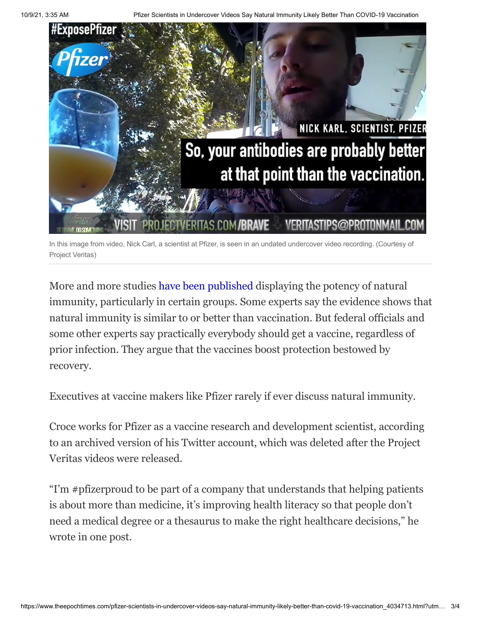

In this image from video, Nick Carl, a scientist at Pfizer, is seen in an undated undercover video recording. (Courtesy of Project Veritas)

More and more studies have been [published](https://www.theepochtimes.com/natural-immunity-longer-lasting-than-protection-from-covid-19-vaccines-dr-robert-malone_3983305.html) displaying the potency of natural immunity, particularly in certain groups. Some experts say the evidence shows that natural immunity is similar to or better than vaccination. But federal officials and some other experts say practically everybody should get a vaccine, regardless of prior infection. They argue that the vaccines boost protection bestowed by recovery.

Executives at vaccine makers like Pfizer rarely if ever discuss natural immunity.

Croce works for Pfizer as a vaccine research and development scientist, according to an archived version of his Twitter account, which was deleted after the Project Veritas videos were released.

"I'm #pfizerproud to be part of a company that understands that helping patients is about more than medicine, it's improving health literacy so that people don't need a medical degree or a thesaurus to make the right healthcare decisions," he wrote in one post.